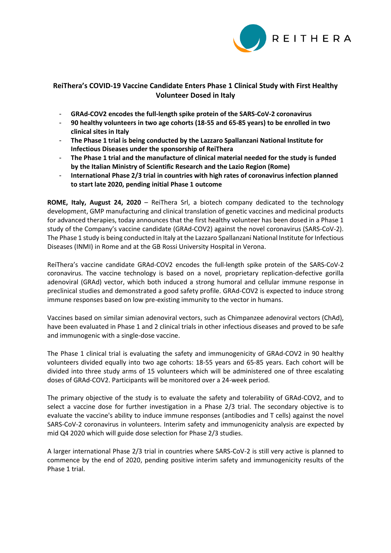

## **ReiThera's COVID-19 Vaccine Candidate Enters Phase 1 Clinical Study with First Healthy Volunteer Dosed in Italy**

- **GRAd-COV2 encodes the full-length spike protein of the SARS-CoV-2 coronavirus**
- **90 healthy volunteers in two age cohorts (18-55 and 65-85 years) to be enrolled in two clinical sites in Italy**
- **The Phase 1 trial is being conducted by the Lazzaro Spallanzani National Institute for Infectious Diseases under the sponsorship of ReiThera**
- **The Phase 1 trial and the manufacture of clinical material needed for the study is funded by the Italian Ministry of Scientific Research and the Lazio Region (Rome)**
- **International Phase 2/3 trial in countries with high rates of coronavirus infection planned to start late 2020, pending initial Phase 1 outcome**

**ROME, Italy, August 24, 2020** – ReiThera Srl, a biotech company dedicated to the technology development, GMP manufacturing and clinical translation of genetic vaccines and medicinal products for advanced therapies, today announces that the first healthy volunteer has been dosed in a Phase 1 study of the Company's vaccine candidate (GRAd-COV2) against the novel coronavirus (SARS-CoV-2). The Phase 1 study is being conducted in Italy at the Lazzaro Spallanzani National Institute for Infectious Diseases (INMI) in Rome and at the GB Rossi University Hospital in Verona.

ReiThera's vaccine candidate GRAd-COV2 encodes the full-length spike protein of the SARS-CoV-2 coronavirus. The vaccine technology is based on a novel, proprietary replication-defective gorilla adenoviral (GRAd) vector, which both induced a strong humoral and cellular immune response in preclinical studies and demonstrated a good safety profile. GRAd-COV2 is expected to induce strong immune responses based on low pre-existing immunity to the vector in humans.

Vaccines based on similar simian adenoviral vectors, such as Chimpanzee adenoviral vectors (ChAd), have been evaluated in Phase 1 and 2 clinical trials in other infectious diseases and proved to be safe and immunogenic with a single-dose vaccine.

The Phase 1 clinical trial is evaluating the safety and immunogenicity of GRAd-COV2 in 90 healthy volunteers divided equally into two age cohorts: 18-55 years and 65-85 years. Each cohort will be divided into three study arms of 15 volunteers which will be administered one of three escalating doses of GRAd-COV2. Participants will be monitored over a 24-week period.

The primary objective of the study is to evaluate the safety and tolerability of GRAd-COV2, and to select a vaccine dose for further investigation in a Phase 2/3 trial. The secondary objective is to evaluate the vaccine's ability to induce immune responses (antibodies and T cells) against the novel SARS-CoV-2 coronavirus in volunteers. Interim safety and immunogenicity analysis are expected by mid Q4 2020 which will guide dose selection for Phase 2/3 studies.

A larger international Phase 2/3 trial in countries where SARS-CoV-2 is still very active is planned to commence by the end of 2020, pending positive interim safety and immunogenicity results of the Phase 1 trial.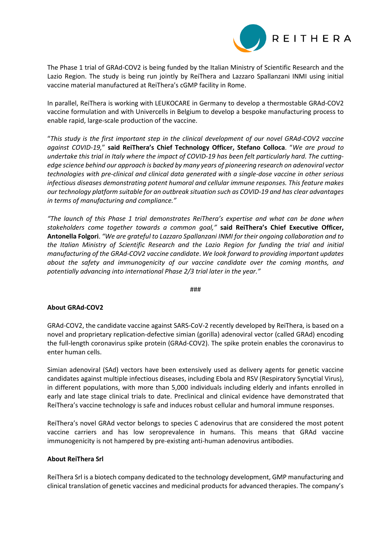

The Phase 1 trial of GRAd-COV2 is being funded by the Italian Ministry of Scientific Research and the Lazio Region. The study is being run jointly by ReiThera and Lazzaro Spallanzani INMI using initial vaccine material manufactured at ReiThera's cGMP facility in Rome.

In parallel, ReiThera is working with LEUKOCARE in Germany to develop a thermostable GRAd-COV2 vaccine formulation and with Univercells in Belgium to develop a bespoke manufacturing process to enable rapid, large-scale production of the vaccine.

"*This study is the first important step in the clinical development of our novel GRAd-COV2 vaccine against COVID-19,*" **said ReiThera's Chief Technology Officer, Stefano Colloca**. "*We are proud to undertake this trial in Italy where the impact of COVID-19 has been felt particularly hard. The cuttingedge science behind our approach is backed by many years of pioneering research on adenoviral vector technologies with pre-clinical and clinical data generated with a single-dose vaccine in other serious infectious diseases demonstrating potent humoral and cellular immune responses. This feature makes our technology platform suitable for an outbreak situation such as COVID-19 and has clear advantages in terms of manufacturing and compliance."*

*"The launch of this Phase 1 trial demonstrates ReiThera's expertise and what can be done when stakeholders come together towards a common goal,"* **said ReiThera's Chief Executive Officer, Antonella Folgori**. *"We are grateful to Lazzaro Spallanzani INMI for their ongoing collaboration and to the Italian Ministry of Scientific Research and the Lazio Region for funding the trial and initial manufacturing of the GRAd-COV2 vaccine candidate*. *We look forward to providing important updates about the safety and immunogenicity of our vaccine candidate over the coming months, and potentially advancing into international Phase 2/3 trial later in the year."*

###

## **About GRAd-COV2**

GRAd-COV2, the candidate vaccine against SARS-CoV-2 recently developed by ReiThera, is based on a novel and proprietary replication-defective simian (gorilla) adenoviral vector (called GRAd) encoding the full-length coronavirus spike protein (GRAd-COV2). The spike protein enables the coronavirus to enter human cells.

Simian adenoviral (SAd) vectors have been extensively used as delivery agents for genetic vaccine candidates against multiple infectious diseases, including Ebola and RSV (Respiratory Syncytial Virus), in different populations, with more than 5,000 individuals including elderly and infants enrolled in early and late stage clinical trials to date. Preclinical and clinical evidence have demonstrated that ReiThera's vaccine technology is safe and induces robust cellular and humoral immune responses.

ReiThera's novel GRAd vector belongs to species C adenovirus that are considered the most potent vaccine carriers and has low seroprevalence in humans. This means that GRAd vaccine immunogenicity is not hampered by pre-existing anti-human adenovirus antibodies.

## **About ReiThera Srl**

ReiThera Srl is a biotech company dedicated to the technology development, GMP manufacturing and clinical translation of genetic vaccines and medicinal products for advanced therapies. The company's